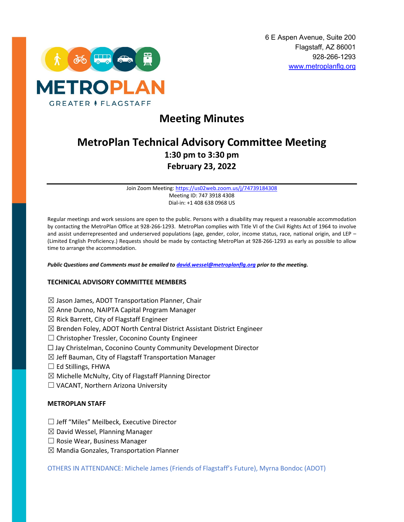

# **Meeting Minutes**

# **MetroPlan Technical Advisory Committee Meeting 1:30 pm to 3:30 pm February 23, 2022**

Join Zoom Meeting[: https://us02web.zoom.us/j/74739184308](https://us02web.zoom.us/j/74739184308) Meeting ID: 747 3918 4308 Dial-in: +1 408 638 0968 US

Regular meetings and work sessions are open to the public. Persons with a disability may request a reasonable accommodation by contacting the MetroPlan Office at 928-266-1293. MetroPlan complies with Title VI of the Civil Rights Act of 1964 to involve and assist underrepresented and underserved populations (age, gender, color, income status, race, national origin, and LEP – (Limited English Proficiency.) Requests should be made by contacting MetroPlan at 928-266-1293 as early as possible to allow time to arrange the accommodation.

*Public Questions and Comments must be emailed t[o david.wessel@metroplanflg.org](mailto:david.wessel@metroplanflg.org) prior to the meeting.* 

## **TECHNICAL ADVISORY COMMITTEE MEMBERS**

- $\boxtimes$  Jason James, ADOT Transportation Planner, Chair
- $\boxtimes$  Anne Dunno, NAIPTA Capital Program Manager
- $\boxtimes$  Rick Barrett, City of Flagstaff Engineer
- $\boxtimes$  Brenden Foley, ADOT North Central District Assistant District Engineer
- ☐ Christopher Tressler, Coconino County Engineer
- ☐ Jay Christelman, Coconino County Community Development Director
- $\boxtimes$  Jeff Bauman, City of Flagstaff Transportation Manager
- $\Box$  Ed Stillings, FHWA
- $\boxtimes$  Michelle McNulty, City of Flagstaff Planning Director
- ☐ VACANT, Northern Arizona University

## **METROPLAN STAFF**

- ☐ Jeff "Miles" Meilbeck, Executive Director
- $\boxtimes$  David Wessel, Planning Manager
- $\Box$  Rosie Wear, Business Manager
- $\boxtimes$  Mandia Gonzales, Transportation Planner

OTHERS IN ATTENDANCE: Michele James (Friends of Flagstaff's Future), Myrna Bondoc (ADOT)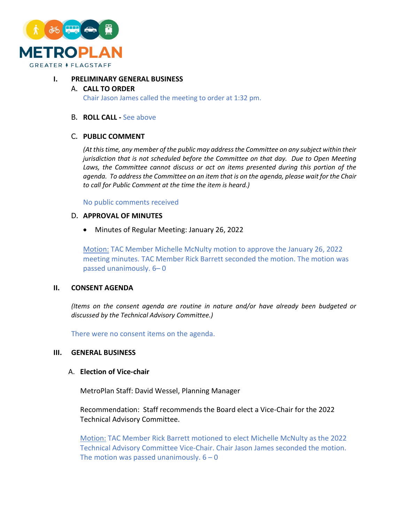

## **I. PRELIMINARY GENERAL BUSINESS**

# A. **CALL TO ORDER**

Chair Jason James called the meeting to order at 1:32 pm.

#### B. **ROLL CALL -** See above

## C. **PUBLIC COMMENT**

*(At this time, any member of the public may address the Committee on any subject within their jurisdiction that is not scheduled before the Committee on that day. Due to Open Meeting Laws, the Committee cannot discuss or act on items presented during this portion of the agenda. To address the Committee on an item that is on the agenda, please wait for the Chair to call for Public Comment at the time the item is heard.)*

No public comments received

## D. **APPROVAL OF MINUTES**

• Minutes of Regular Meeting: January 26, 2022

Motion: TAC Member Michelle McNulty motion to approve the January 26, 2022 meeting minutes. TAC Member Rick Barrett seconded the motion. The motion was passed unanimously. 6– 0

## **II. CONSENT AGENDA**

*(Items on the consent agenda are routine in nature and/or have already been budgeted or discussed by the Technical Advisory Committee.)*

There were no consent items on the agenda.

## **III. GENERAL BUSINESS**

## A. **Election of Vice-chair**

MetroPlan Staff: David Wessel, Planning Manager

Recommendation: Staff recommends the Board elect a Vice-Chair for the 2022 Technical Advisory Committee.

Motion: TAC Member Rick Barrett motioned to elect Michelle McNulty as the 2022 Technical Advisory Committee Vice-Chair. Chair Jason James seconded the motion. The motion was passed unanimously.  $6 - 0$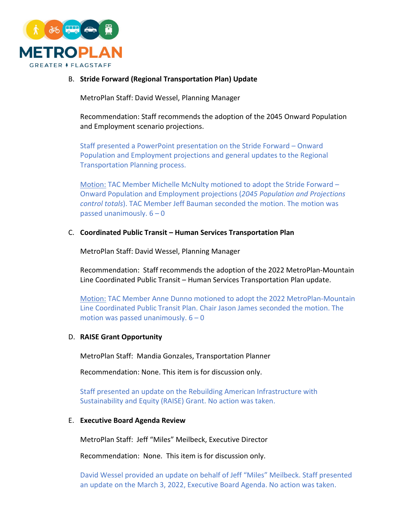

# B. **Stride Forward (Regional Transportation Plan) Update**

MetroPlan Staff: David Wessel, Planning Manager

Recommendation: Staff recommends the adoption of the 2045 Onward Population and Employment scenario projections.

Staff presented a PowerPoint presentation on the Stride Forward – Onward Population and Employment projections and general updates to the Regional Transportation Planning process.

Motion: TAC Member Michelle McNulty motioned to adopt the Stride Forward – Onward Population and Employment projections (*2045 Population and Projections control totals*). TAC Member Jeff Bauman seconded the motion. The motion was passed unanimously.  $6 - 0$ 

# C. **Coordinated Public Transit – Human Services Transportation Plan**

MetroPlan Staff: David Wessel, Planning Manager

Recommendation: Staff recommends the adoption of the 2022 MetroPlan-Mountain Line Coordinated Public Transit – Human Services Transportation Plan update.

Motion: TAC Member Anne Dunno motioned to adopt the 2022 MetroPlan-Mountain Line Coordinated Public Transit Plan. Chair Jason James seconded the motion. The motion was passed unanimously.  $6 - 0$ 

# D. **RAISE Grant Opportunity**

MetroPlan Staff: Mandia Gonzales, Transportation Planner

Recommendation: None. This item is for discussion only.

Staff presented an update on the Rebuilding American Infrastructure with Sustainability and Equity (RAISE) Grant. No action was taken.

## E. **Executive Board Agenda Review**

MetroPlan Staff: Jeff "Miles" Meilbeck, Executive Director

Recommendation: None. This item is for discussion only.

David Wessel provided an update on behalf of Jeff "Miles" Meilbeck. Staff presented an update on the March 3, 2022, Executive Board Agenda. No action was taken.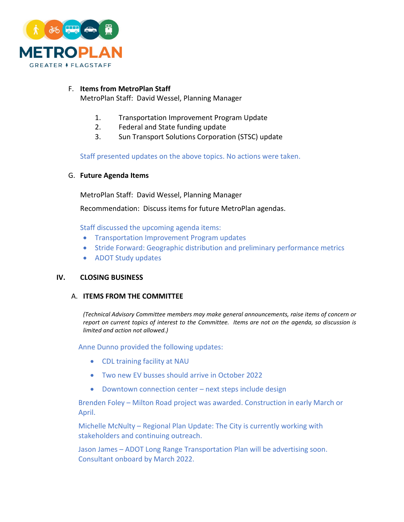

# F. **Items from MetroPlan Staff**

MetroPlan Staff: David Wessel, Planning Manager

- 1. Transportation Improvement Program Update
- 2. Federal and State funding update
- 3. Sun Transport Solutions Corporation (STSC) update

Staff presented updates on the above topics. No actions were taken.

# G. **Future Agenda Items**

MetroPlan Staff: David Wessel, Planning Manager

Recommendation: Discuss items for future MetroPlan agendas.

Staff discussed the upcoming agenda items:

- Transportation Improvement Program updates
- Stride Forward: Geographic distribution and preliminary performance metrics
- ADOT Study updates

# **IV. CLOSING BUSINESS**

# A. **ITEMS FROM THE COMMITTEE**

*(Technical Advisory Committee members may make general announcements, raise items of concern or report on current topics of interest to the Committee. Items are not on the agenda, so discussion is limited and action not allowed.)*

Anne Dunno provided the following updates:

- CDL training facility at NAU
- Two new EV busses should arrive in October 2022
- Downtown connection center next steps include design

Brenden Foley – Milton Road project was awarded. Construction in early March or April.

Michelle McNulty – Regional Plan Update: The City is currently working with stakeholders and continuing outreach.

Jason James – ADOT Long Range Transportation Plan will be advertising soon. Consultant onboard by March 2022.